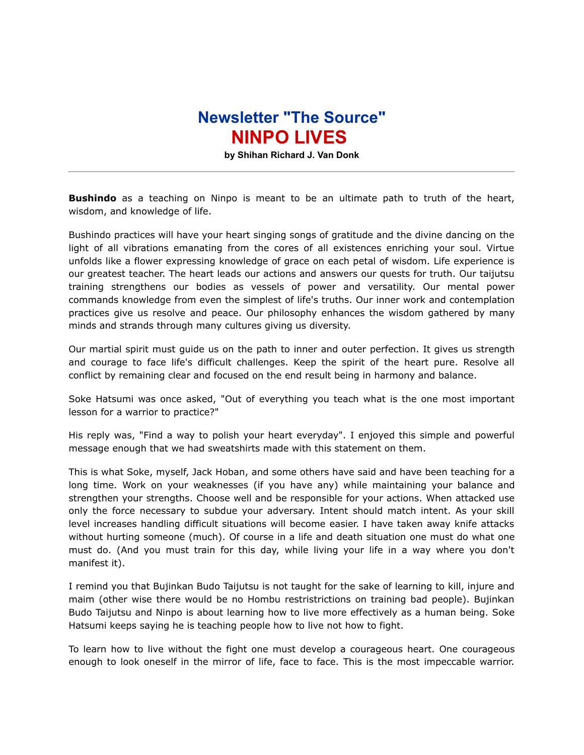## **Newsletter "The Source" NINPO LIVES**

**by Shihan Richard J. Van Donk**

**Bushindo** as a teaching on Ninpo is meant to be an ultimate path to truth of the heart, wisdom, and knowledge of life.

Bushindo practices will have your heart singing songs of gratitude and the divine dancing on the light of all vibrations emanating from the cores of all existences enriching your soul. Virtue unfolds like a flower expressing knowledge of grace on each petal of wisdom. Life experience is our greatest teacher. The heart leads our actions and answers our quests for truth. Our taijutsu training strengthens our bodies as vessels of power and versatility. Our mental power commands knowledge from even the simplest of life's truths. Our inner work and contemplation practices give us resolve and peace. Our philosophy enhances the wisdom gathered by many minds and strands through many cultures giving us diversity.

Our martial spirit must guide us on the path to inner and outer perfection. It gives us strength and courage to face life's difficult challenges. Keep the spirit of the heart pure. Resolve all conflict by remaining clear and focused on the end result being in harmony and balance.

Soke Hatsumi was once asked, "Out of everything you teach what is the one most important lesson for a warrior to practice?"

His reply was, "Find a way to polish your heart everyday". I enjoyed this simple and powerful message enough that we had sweatshirts made with this statement on them.

This is what Soke, myself, Jack Hoban, and some others have said and have been teaching for a long time. Work on your weaknesses (if you have any) while maintaining your balance and strengthen your strengths. Choose well and be responsible for your actions. When attacked use only the force necessary to subdue your adversary. Intent should match intent. As your skill level increases handling difficult situations will become easier. I have taken away knife attacks without hurting someone (much). Of course in a life and death situation one must do what one must do. (And you must train for this day, while living your life in a way where you don't manifest it).

I remind you that Bujinkan Budo Taijutsu is not taught for the sake of learning to kill, injure and maim (other wise there would be no Hombu restristrictions on training bad people). Bujinkan Budo Taijutsu and Ninpo is about learning how to live more effectively as a human being. Soke Hatsumi keeps saying he is teaching people how to live not how to fight.

To learn how to live without the fight one must develop a courageous heart. One courageous enough to look oneself in the mirror of life, face to face. This is the most impeccable warrior.